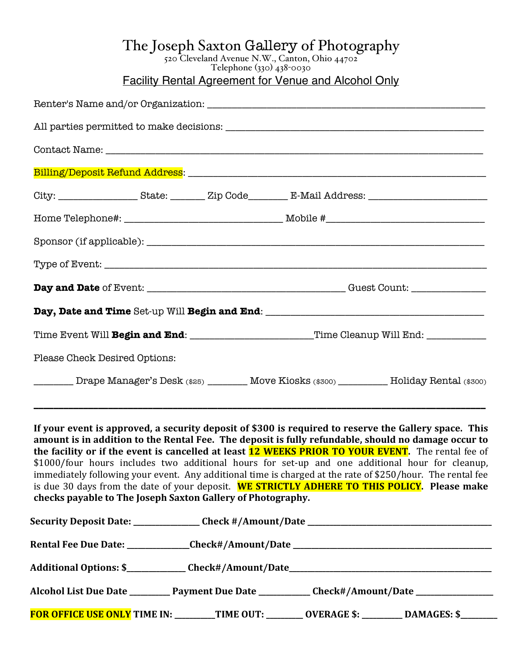## The Joseph Saxton Gallery of Photography

520 Cleveland Avenue N.W., Canton, Ohio 44702 Telephone (330) 438-0030

Facility Rental Agreement for Venue and Alcohol Only

|                               | Time Event Will Begin and End: ______________________Time Cleanup Will End: ___________               |
|-------------------------------|-------------------------------------------------------------------------------------------------------|
| Please Check Desired Options: |                                                                                                       |
|                               | ________ Drape Manager's Desk (\$25) _______ Move Kiosks (\$300) ________ Holiday Rental (\$300)      |
|                               | If your event is approved, a security deposit of \$300 is required to reserve the Gallery space. This |

amount is in addition to the Rental Fee. The deposit is fully refundable, should no damage occur to **the facility or if the event is cancelled at least <b>12 WEEKS PRIOR TO YOUR EVENT**. The rental fee of \$1000/four hours includes two additional hours for set-up and one additional hour for cleanup, immediately following your event. Any additional time is charged at the rate of \$250/hour. The rental fee is due 30 days from the date of your deposit. WE STRICTLY ADHERE TO THIS POLICY. Please make checks payable to The Joseph Saxton Gallery of Photography.

|  | Additional Options: \$_____________Check#/Amount/Date____________________________                    |
|--|------------------------------------------------------------------------------------------------------|
|  | Alcohol List Due Date ____________ Payment Due Date _____________ Check#/Amount/Date _______________ |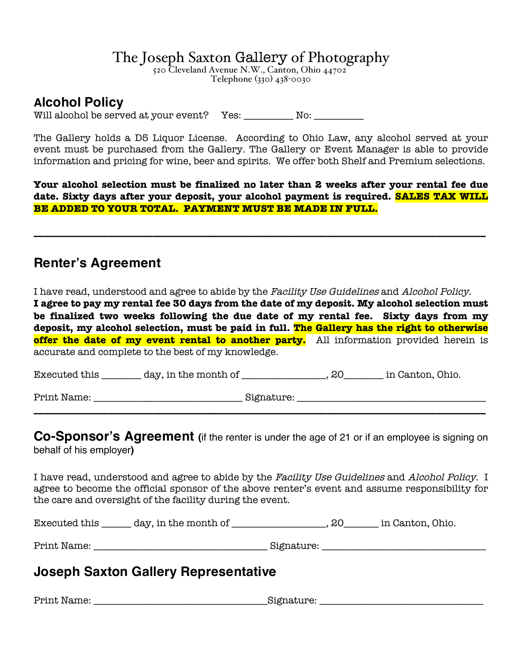## **The Joseph Saxton Gallery of Photography** 521

520 Cleveland Avenue N.W., Canton, Ohio 44702

#### **Alcohol Policy**

Will alcohol be served at your event? Yes: \_\_\_\_\_\_\_\_\_ No: \_\_\_\_\_\_\_\_\_\_

The Gallery holds a D5 Liquor License. According to Ohio Law, any alcohol served at your event must be purchased from the Gallery. The Gallery or Event Manager is able to provide information and pricing for wine, beer and spirits. We offer both Shelf and Premium selections.

**Your alcohol selection must be finalized no later than 2 weeks after your rental fee due date. Sixty days after your deposit, your alcohol payment is required. SALES TAX WILL BE ADDED TO YOUR TOTAL. PAYMENT MUST BE MADE IN FULL.** 

**\_\_\_\_\_\_\_\_\_\_\_\_\_\_\_\_\_\_\_\_\_\_\_\_\_\_\_\_\_\_\_\_\_\_\_\_\_\_\_\_\_\_\_\_\_\_\_\_\_\_\_\_\_\_\_\_\_\_\_\_\_\_\_\_\_\_\_\_\_\_\_\_\_\_\_\_\_\_\_\_\_\_\_\_\_\_\_\_\_\_\_**

### **Renter's Agreement**

I have read, understood and agree to abide by the Facility Use Guidelines and Alcohol Policy. **I agree to pay my rental fee 30 days from the date of my deposit. My alcohol selection must be finalized two weeks following the due date of my rental fee. Sixty days from my** 

**deposit, my alcohol selection, must be paid in full. The Gallery has the right to otherwise offer the date of my event rental to another party.** All information provided herein is accurate and complete to the best of my knowledge.

Executed this day, in the month of the secuted this day, in the month of the secution, Ohio.

Print Name:  $\Box$  Signature:  $\Box$ 

**Co-Sponsor's Agreement (**if the renter is under the age of 21 or if an employee is signing on behalf of his employer**)**

**\_\_\_\_\_\_\_\_\_\_\_\_\_\_\_\_\_\_\_\_\_\_\_\_\_\_\_\_\_\_\_\_\_\_\_\_\_\_\_\_\_\_\_\_\_\_\_\_\_\_\_\_\_\_\_\_\_\_\_\_\_\_\_\_\_\_\_\_\_\_\_\_\_\_\_\_\_\_\_\_\_\_\_\_\_\_\_\_\_\_\_**

I have read, understood and agree to abide by the Facility Use Guidelines and Alcohol Policy. I agree to become the official sponsor of the above renter's event and assume responsibility for the care and oversight of the facility during the event.

Executed this \_\_\_\_\_\_ day, in the month of \_\_\_\_\_\_\_\_\_\_\_\_\_\_\_\_\_\_\_, 20\_\_\_\_\_\_\_ in Canton, Ohio.

Print Name: \_\_\_\_\_\_\_\_\_\_\_\_\_\_\_\_\_\_\_\_\_\_\_\_\_\_\_\_\_\_\_\_\_\_\_ Signature: \_\_\_\_\_\_\_\_\_\_\_\_\_\_\_\_\_\_\_\_\_\_\_\_\_\_\_\_\_\_\_\_\_

## **Joseph Saxton Gallery Representative**

Print Name: the contract of the contract of the Signature:  $\mathop{\mathrm{Signature}}$ :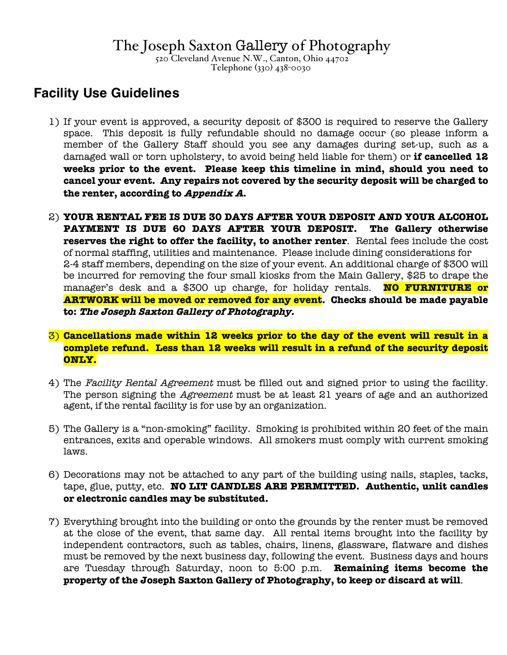# The Joseph Saxton Gallery of Photography<br>520 Cleveland Avenue N.W., Canton, Ohio 44702

Telephone (330) 438-0030

### **Facility Use Guidelines**

- 1) If your event is approved, a security deposit of \$300 is required to reserve the Gallery space. This deposit is fully refundable should no damage occur (so please inform a member of the Gallery Staff should you see any damages during set-up, such as a damaged wall or torn upholstery, to avoid being held liable for them) or **if cancelled 12 weeks prior to the event. Please keep this timeline in mind, should you need to cancel your event. Any repairs not covered by the security deposit will be charged to the renter, according to Appendix A.**
- 2) **YOUR RENTAL FEE IS DUE 30 DAYS AFTER YOUR DEPOSIT AND YOUR ALCOHOL PAYMENT IS DUE 60 DAYS AFTER YOUR DEPOSIT. The Gallery otherwise reserves the right to offer the facility, to another renter**. Rental fees include the cost of normal staffing, utilities and maintenance. Please include dining considerations for 2-4 staff members, depending on the size of your event. An additional charge of \$300 will be incurred for removing the four small kiosks from the Main Gallery, \$25 to drape the manager's desk and a \$300 up charge, for holiday rentals. **NO FURNITURE or ARTWORK will be moved or removed for any event. Checks should be made payable to: The Joseph Saxton Gallery of Photography.**
- 3) **Cancellations made within 12 weeks prior to the day of the event will result in a complete refund. Less than 12 weeks will result in a refund of the security deposit ONLY.**
- 4) The Facility Rental Agreement must be filled out and signed prior to using the facility. The person signing the *Agreement* must be at least 21 years of age and an authorized agent, if the rental facility is for use by an organization.
- 5) The Gallery is a "non-smoking" facility. Smoking is prohibited within 20 feet of the main entrances, exits and operable windows. All smokers must comply with current smoking laws.
- 6) Decorations may not be attached to any part of the building using nails, staples, tacks, tape, glue, putty, etc. **NO LIT CANDLES ARE PERMITTED. Authentic, unlit candles or electronic candles may be substituted.**
- 7) Everything brought into the building or onto the grounds by the renter must be removed at the close of the event, that same day. All rental items brought into the facility by independent contractors, such as tables, chairs, linens, glassware, flatware and dishes must be removed by the next business day, following the event. Business days and hours are Tuesday through Saturday, noon to 5:00 p.m. **Remaining items become the property of the Joseph Saxton Gallery of Photography, to keep or discard at will**.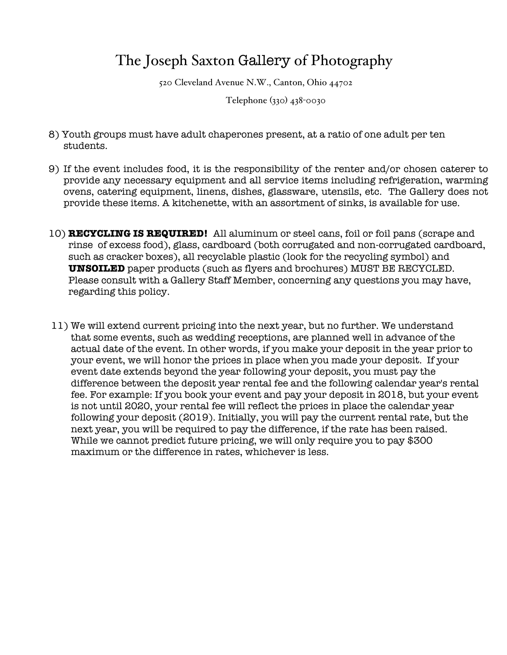## The Joseph Saxton Gallery of Photography

520 Cleveland Avenue N.W., Canton, Ohio 44702

Telephone (330) 438-0030

- 8) Youth groups must have adult chaperones present, at a ratio of one adult per ten students.
- 9) If the event includes food, it is the responsibility of the renter and/or chosen caterer to provide any necessary equipment and all service items including refrigeration, warming ovens, catering equipment, linens, dishes, glassware, utensils, etc. The Gallery does not provide these items. A kitchenette, with an assortment of sinks, is available for use.
- 10) **RECYCLING IS REQUIRED!** All aluminum or steel cans, foil or foil pans (scrape and rinse of excess food), glass, cardboard (both corrugated and non-corrugated cardboard, such as cracker boxes), all recyclable plastic (look for the recycling symbol) and **UNSOILED** paper products (such as flyers and brochures) MUST BE RECYCLED. Please consult with a Gallery Staff Member, concerning any questions you may have, regarding this policy.
- 11) We will extend current pricing into the next year, but no further. We understand that some events, such as wedding receptions, are planned well in advance of the actual date of the event. In other words, if you make your deposit in the year prior to your event, we will honor the prices in place when you made your deposit. If your event date extends beyond the year following your deposit, you must pay the difference between the deposit year rental fee and the following calendar year's rental fee. For example: If you book your event and pay your deposit in 2018, but your event is not until 2020, your rental fee will reflect the prices in place the calendar year following your deposit (2019). Initially, you will pay the current rental rate, but the next year, you will be required to pay the difference, if the rate has been raised. While we cannot predict future pricing, we will only require you to pay \$300 maximum or the difference in rates, whichever is less.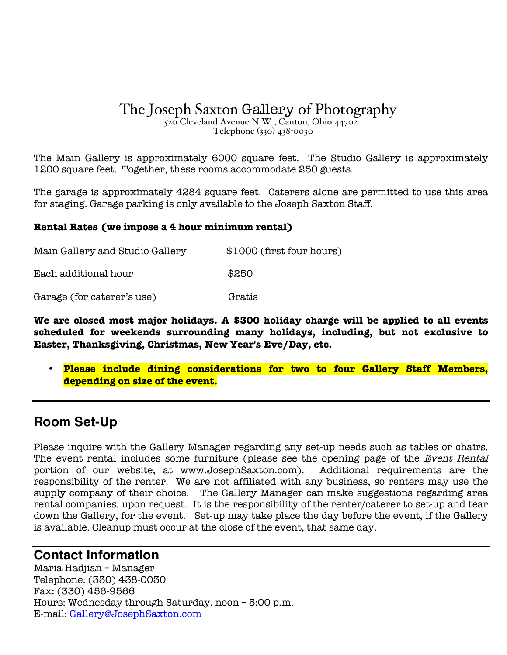# The Joseph Saxton Gallery of Photography<br>520 Cleveland Avenue N.W., Canton, Ohio 44702

Telephone (330) 438-0030

The Main Gallery is approximately 6000 square feet. The Studio Gallery is approximately 1200 square feet. Together, these rooms accommodate 250 guests.

The garage is approximately 4284 square feet. Caterers alone are permitted to use this area for staging. Garage parking is only available to the Joseph Saxton Staff.

#### **Rental Rates (we impose a 4 hour minimum rental)**

| Main Gallery and Studio Gallery | \$1000 (first four hours) |
|---------------------------------|---------------------------|
| Each additional hour            | \$250                     |
| Garage (for caterer's use)      | Gratis                    |

**We are closed most major holidays. A \$300 holiday charge will be applied to all events scheduled for weekends surrounding many holidays, including, but not exclusive to Easter, Thanksgiving, Christmas, New Year's Eve/Day, etc.**

• **Please include dining considerations for two to four Gallery Staff Members, depending on size of the event.**

### **Room Set-Up**

Please inquire with the Gallery Manager regarding any set-up needs such as tables or chairs. The event rental includes some furniture (please see the opening page of the Event Rental portion of our website, at www.JosephSaxton.com). Additional requirements are the responsibility of the renter. We are not affiliated with any business, so renters may use the supply company of their choice. The Gallery Manager can make suggestions regarding area rental companies, upon request. It is the responsibility of the renter/caterer to set-up and tear down the Gallery, for the event. Set-up may take place the day before the event, if the Gallery is available. Cleanup must occur at the close of the event, that same day.

#### **Contact Information**

Maria Hadjian – Manager Telephone: (330) 438-0030 Fax: (330) 456-9566 Hours: Wednesday through Saturday, noon – 5:00 p.m. E-mail: Gallery@JosephSaxton.com